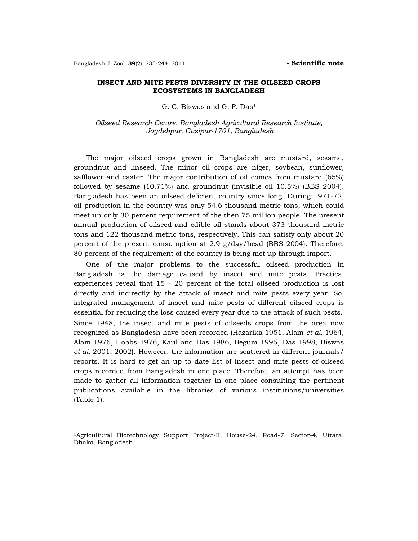## **INSECT AND MITE PESTS DIVERSITY IN THE OILSEED CROPS ECOSYSTEMS IN BANGLADESH**

G. C. Biswas and G. P. Das1

*Oilseed Research Centre, Bangladesh Agricultural Research Institute, Joydebpur, Gazipur-1701, Bangladesh* 

 The major oilseed crops grown in Bangladesh are mustard, sesame, groundnut and linseed. The minor oil crops are niger, soybean, sunflower, safflower and castor. The major contribution of oil comes from mustard (65%) followed by sesame (10.71%) and groundnut (invisible oil 10.5%) (BBS 2004). Bangladesh has been an oilseed deficient country since long. During 1971-72, oil production in the country was only 54.6 thousand metric tons, which could meet up only 30 percent requirement of the then 75 million people. The present annual production of oilseed and edible oil stands about 373 thousand metric tons and 122 thousand metric tons, respectively. This can satisfy only about 20 percent of the present consumption at 2.9 g/day/head (BBS 2004). Therefore, 80 percent of the requirement of the country is being met up through import.

 One of the major problems to the successful oilseed production in Bangladesh is the damage caused by insect and mite pests. Practical experiences reveal that 15 - 20 percent of the total oilseed production is lost directly and indirectly by the attack of insect and mite pests every year. So, integrated management of insect and mite pests of different oilseed crops is essential for reducing the loss caused every year due to the attack of such pests. Since 1948, the insect and mite pests of oilseeds crops from the area now recognized as Bangladesh have been recorded (Hazarika 1951, Alam *et al.* 1964, Alam 1976, Hobbs 1976, Kaul and Das 1986, Begum 1995, Das 1998, Biswas *et al.* 2001, 2002). However, the information are scattered in different journals/ reports. It is hard to get an up to date list of insect and mite pests of oilseed crops recorded from Bangladesh in one place. Therefore, an attempt has been made to gather all information together in one place consulting the pertinent publications available in the libraries of various institutions/universities (Table 1).

<sup>1</sup>Agricultural Biotechnology Support Project-II, House-24, Road-7, Sector-4, Uttara, Dhaka, Bangladesh.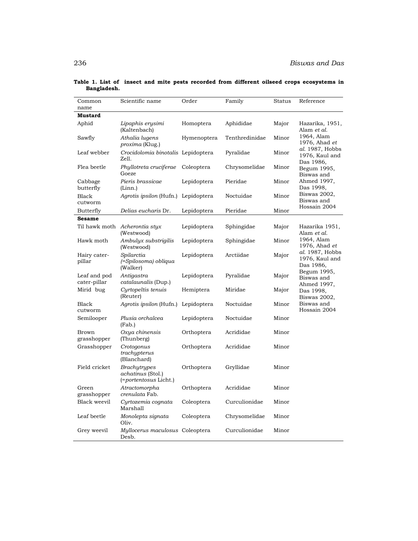| Common<br>name               | Scientific name                                                   | Order       | Family         | Status | Reference                                      |
|------------------------------|-------------------------------------------------------------------|-------------|----------------|--------|------------------------------------------------|
| <b>Mustard</b>               |                                                                   |             |                |        |                                                |
| Aphid                        | Lipaphis erysimi<br>(Kaltenbach)                                  | Homoptera   | Aphididae      | Major  | Hazarika, 1951,<br>Alam et al.                 |
| Sawfly                       | Athalia lugens<br>proxima (Klug.)                                 | Hymenoptera | Tenthredinidae | Minor  | 1964, Alam<br>1976, Ahad et                    |
| Leaf webber                  | Crocidolomia binotalis Lepidoptera<br>Zell.                       |             | Pyralidae      | Minor  | al. 1987, Hobbs<br>1976, Kaul and<br>Das 1986, |
| Flea beetle                  | Phyllotreta cruciferae<br>Goeze                                   | Coleoptera  | Chrysomelidae  | Minor  | Begum 1995,<br>Biswas and                      |
| Cabbage<br>butterfly         | Pieris brassicae<br>(Linn.)                                       | Lepidoptera | Pieridae       | Minor  | Ahmed 1997,<br>Das 1998,                       |
| Black<br>cutworm             | Agrotis ipsilon (Hufn.) Lepidoptera                               |             | Noctuidae      | Minor  | Biswas 2002,<br>Biswas and                     |
| Butterfly                    | Delias eucharis Dr.                                               | Lepidoptera | Pieridae       | Minor  | Hossain 2004                                   |
| <b>Sesame</b>                |                                                                   |             |                |        |                                                |
|                              | Til hawk moth Acherontia styx<br>(Westwood)                       | Lepidoptera | Sphingidae     | Major  | Hazarika 1951,<br>Alam <i>et al.</i>           |
| Hawk moth                    | Ambulyx substrigilis<br>(Westwood)                                | Lepidoptera | Sphingidae     | Minor  | 1964, Alam<br>1976, Ahad et                    |
| Hairy cater-<br>pillar       | Spilarctia<br>(=Spilosoma) obliqua<br>(Walker)                    | Lepidoptera | Arctiidae      | Major  | al. 1987, Hobbs<br>1976, Kaul and<br>Das 1986, |
| Leaf and pod<br>cater-pillar | Antigastra<br>catalaunalis (Dup.)                                 | Lepidoptera | Pyralidae      | Major  | Begum 1995,<br>Biswas and<br>Ahmed 1997,       |
| Mirid bug                    | Cyrtopeltis tenuis<br>(Reuter)                                    | Hemiptera   | Miridae        | Major  | Das 1998,<br>Biswas 2002,                      |
| Black<br>cutworm             | Agrotis ipsilon (Hufn.)                                           | Lepidoptera | Noctuidae      | Minor  | Biswas and<br>Hossain 2004                     |
| Semilooper                   | Plusia orchalcea<br>(Fab.)                                        | Lepidoptera | Noctuidae      | Minor  |                                                |
| Brown<br>grasshopper         | Oxya chinensis<br>(Thunberg)                                      | Orthoptera  | Acrididae      | Minor  |                                                |
| Grasshopper                  | Crotogonus<br>trachypterus<br>(Blanchard)                         | Orthoptera  | Acrididae      | Minor  |                                                |
| Field cricket                | <b>Brachytrypes</b><br>achatinus (Stol.)<br>(=portentosus Licht.) | Orthoptera  | Gryllidae      | Minor  |                                                |
| Green<br>grasshopper         | Atractomorpha<br>crenulata Fab.                                   | Orthoptera  | Acrididae      | Minor  |                                                |
| Black weevil                 | Cyrtozemia cognata<br>Marshall                                    | Coleoptera  | Curculionidae  | Minor  |                                                |
| Leaf beetle                  | Monolepta signata<br>Oliv.                                        | Coleoptera  | Chrysomelidae  | Minor  |                                                |
| Grey weevil                  | Myllocerus maculosus Coleoptera<br>Desb.                          |             | Curculionidae  | Minor  |                                                |

**Table 1. List of insect and mite pests recorded from different oilseed crops ecosystems in Bangladesh.**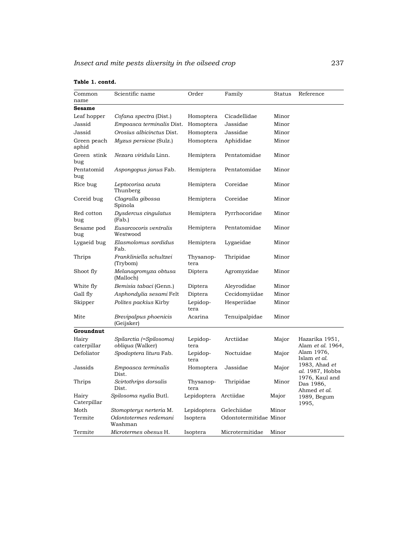|  |  | Table 1. contd. |
|--|--|-----------------|
|--|--|-----------------|

| Common               | Scientific name                     | Order             | Family                 | <b>Status</b> | Reference                                   |
|----------------------|-------------------------------------|-------------------|------------------------|---------------|---------------------------------------------|
| name                 |                                     |                   |                        |               |                                             |
| <b>Sesame</b>        |                                     |                   |                        |               |                                             |
| Leaf hopper          | Cofana spectra (Dist.)              | Homoptera         | Cicadellidae           | Minor         |                                             |
| Jassid               | Empoasca terminalis Dist.           | Homoptera         | Jassidae               | Minor         |                                             |
| Jassid               | Orosius albicinctus Dist.           | Homoptera         | Jassidae               | Minor         |                                             |
| Green peach<br>aphid | <i>Myzus persicae</i> (Sulz.)       | Homoptera         | Aphididae              | Minor         |                                             |
| Green stink<br>bug   | <i>Nezara viridula Linn.</i>        | Hemiptera         | Pentatomidae           | Minor         |                                             |
| Pentatomid<br>bug    | Aspongopus janus Fab.               | Hemiptera         | Pentatomidae           | Minor         |                                             |
| Rice bug             | Leptocorisa acuta<br>Thunberg       | Hemiptera         | Coreidae               | Minor         |                                             |
| Coreid bug           | Clagralla gibossa<br>Spinola        | Hemiptera         | Coreidae               | Minor         |                                             |
| Red cotton<br>bug    | Dysdercus cingulatus<br>(Fab.)      | Hemiptera         | Pyrrhocoridae          | Minor         |                                             |
| Sesame pod<br>bug    | Eusarcocoris ventralis<br>Westwood  | Hemiptera         | Pentatomidae           | Minor         |                                             |
| Lygaeid bug          | Elasmolomus sordidus<br>Fab.        | Hemiptera         | Lygaeidae              | Minor         |                                             |
| Thrips               | Frankliniella schultzei<br>(Trybom) | Thysanop-<br>tera | Thripidae              | Minor         |                                             |
| Shoot fly            | Melanagromyza obtusa<br>(Malloch)   | Diptera           | Agromyzidae            | Minor         |                                             |
| White fly            | Bemisia tabaci (Genn.)              | Diptera           | Aleyrodidae            | Minor         |                                             |
| Gall fly             | Asphondylia sesami Felt             | Diptera           | Cecidomyiidae          | Minor         |                                             |
| Skipper              | Polites packius Kirby               | Lepidop-<br>tera  | Hesperiidae            | Minor         |                                             |
| Mite                 | Brevipalpus phoenicis<br>(Geijsker) | Acarina           | Tenuipalpidae          | Minor         |                                             |
| Groundnut            |                                     |                   |                        |               |                                             |
| Hairy                | Spilarctia (=Spilosoma)             | Lepidop-          | Arctiidae              | Major         | Hazarika 1951,                              |
| caterpillar          | obliqua (Walker)                    | tera              |                        |               | Alam et al. 1964,                           |
| Defoliator           | Spodoptera litura Fab.              | Lepidop-<br>tera  | Noctuidae              | Major         | Alam 1976,<br>Islam et al.<br>1983, Ahad et |
| Jassids              | Empoasca terminalis<br>Dist.        | Homoptera         | Jassidae               | Major         | <i>al.</i> 1987, Hobbs<br>1976, Kaul and    |
| Thrips               | Scirtothrips dorsalis<br>Dist.      | Thysanop-<br>tera | Thripidae              | Minor         | Das 1986,<br>Ahmed et al.                   |
| Hairy<br>Caterpillar | Spilosoma nydia Butl.               | Lepidoptera       | Arctiidae              | Major         | 1989, Begum<br>1995,                        |
| Moth                 | Stomopteryx nerteria M.             | Lepidoptera       | Gelechiidae            | Minor         |                                             |
| Termite              | Odontotermes redemani<br>Washman    | Isoptera          | Odontotermitidae Minor |               |                                             |
| Termite              | Microtermes obesus H.               | Isoptera          | Microtermitidae        | Minor         |                                             |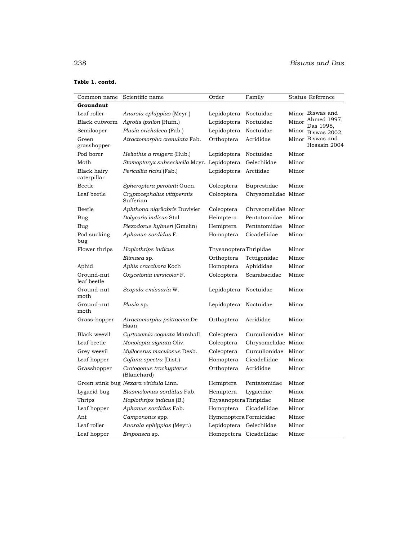| Common name                | Scientific name                            | Order                   | Family              | Status Reference                   |
|----------------------------|--------------------------------------------|-------------------------|---------------------|------------------------------------|
| Groundnut                  |                                            |                         |                     |                                    |
| Leaf roller                | Anarsia ephippias (Meyr.)                  | Lepidoptera             | Noctuidae           | Minor Biswas and                   |
| Black cutworm              | Agrotis ipsilon (Hufn.)                    | Lepidoptera             | Noctuidae           | Ahmed 1997,<br>Minor               |
| Semilooper                 | Plusia orichalcea (Fab.)                   | Lepidoptera             | Noctuidae           | Das 1998,<br>Minor<br>Biswas 2002, |
| Green<br>grasshopper       | Atractomorpha crenulata Fab.               | Orthoptera              | Acrididae           | Minor Biswas and<br>Hossain 2004   |
| Pod borer                  | <i>Heliothis a rmigera</i> (Hub.)          | Lepidoptera             | Noctuidae           | Minor                              |
| Moth                       | Stomopteryx subsecivella Mcyr. Lepidoptera |                         | Gelechiidae         | Minor                              |
| Black hairy<br>caterpillar | Pericallia ricini (Fab.)                   | Lepidoptera             | Arctiidae           | Minor                              |
| Beetle                     | Spheroptera perotetti Guen.                | Coleoptera              | Buprestidae         | Minor                              |
| Leaf beetle                | Cryptocephalus vittipennis<br>Sufferian    | Coleoptera              | Chrysomelidae Minor |                                    |
| <b>Beetle</b>              | Aphthona nigrilabris Duvivier              | Coleoptera              | Chrysomelidae Minor |                                    |
| Bug                        | Dolycoris indicus Stal                     | Heimptera               | Pentatomidae        | Minor                              |
| Bug                        | Piezodorus hybneri (Gmelin)                | Hemiptera               | Pentatomidae        | Minor                              |
| Pod sucking<br>bug         | Aphanus sordidus F.                        | Homoptera               | Cicadellidae        | Minor                              |
| Flower thrips              | Haplothrips indicus                        | ThysanopteraThripidae   |                     | Minor                              |
|                            | Elimaea sp.                                | Orthoptera              | Tettigonidae        | Minor                              |
| Aphid                      | Aphis craccivora Koch                      | Homoptera               | Aphididae           | Minor                              |
| Ground-nut<br>leaf beetle  | Oxycetonia versicolor F.                   | Coleoptera              | Scarabaeidae        | Minor                              |
| Ground-nut<br>moth         | Scopula emissaria W.                       | Lepidoptera             | Noctuidae           | Minor                              |
| Ground-nut<br>moth         | Plusia sp.                                 | Lepidoptera             | Noctuidae           | Minor                              |
| Grass-hopper               | Atractomorpha psittacina De<br>Haan        | Orthoptera              | Acrididae           | Minor                              |
| Black weevil               | Cyrtozemia cognata Marshall                | Coleoptera              | Curculionidae       | Minor                              |
| Leaf beetle                | Monolepta signata Oliv.                    | Coleoptera              | Chrysomelidae Minor |                                    |
| Grey weevil                | Myllocerus maculosus Desb.                 | Coleoptera              | Curculionidae       | Minor                              |
| Leaf hopper                | Cofana spectra (Dist.)                     | Homoptera               | Cicadellidae        | Minor                              |
| Grasshopper                | Crotogonus trachypterus<br>(Blanchard)     | Orthoptera              | Acrididae           | Minor                              |
|                            | Green stink bug Nezara viridula Linn.      | Hemiptera               | Pentatomidae        | Minor                              |
| Lygaeid bug                | Elasmolomus sordidus Fab.                  | Hemiptera               | Lygaeidae           | Minor                              |
| Thrips                     | Haplothrips indicus (B.)                   | ThysanopteraThripidae   |                     | Minor                              |
| Leaf hopper                | Aphanus sordidus Fab.                      | Homoptera               | Cicadellidae        | Minor                              |
| Ant                        | Camponotus spp.                            | Hymenoptera Formicidae  |                     | Minor                              |
| Leaf roller                | Anarala ephippias (Meyr.)                  | Lepidoptera             | Gelechiidae         | Minor                              |
| Leaf hopper                | <i>Empoasca</i> sp.                        | Homopetera Cicadellidae |                     | Minor                              |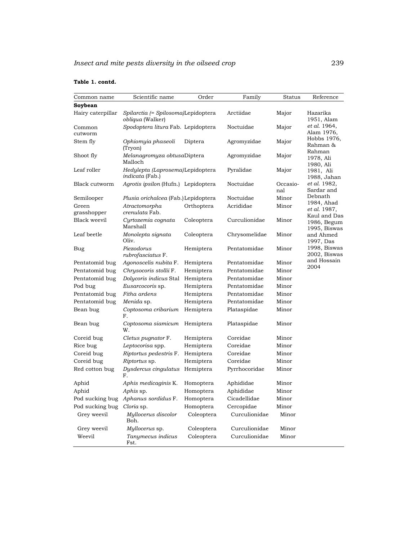| Common name          | Scientific name                                                | Order      | Family        | <b>Status</b>   | Reference                                   |
|----------------------|----------------------------------------------------------------|------------|---------------|-----------------|---------------------------------------------|
| Soybean              |                                                                |            |               |                 |                                             |
| Hairy caterpillar    | Spilarctia (= Spilosoma)Lepidoptera<br><i>obliqua</i> (Walker) |            | Arctiidae     | Major           | Hazarika<br>1951, Alam                      |
| Common<br>cutworm    | Spodoptera litura Fab. Lepidoptera                             |            | Noctuidae     | Major           | et al. 1964,<br>Alam 1976,                  |
| Stem fly             | Ophiomyia phaseoli<br>(Tryon)                                  | Diptera    | Agromyzidae   | Major           | Hobbs 1976,<br>Rahman &                     |
| Shoot fly            | Melanagromyza obtusaDiptera<br>Malloch                         |            | Agromyzidae   | Major           | Rahman<br>1978, Ali<br>1980, Ali            |
| Leaf roller          | Hedylepta (Laprosema)Lepidoptera<br><i>indicata</i> (Fab.)     |            | Pyralidae     | Major           | 1981, Ali<br>1988, Jahan                    |
| Black cutworm        | Agrotis ipsilon (Hufn.) Lepidoptera                            |            | Noctuidae     | Occasio-<br>nal | et al. 1982,<br>Sardar and                  |
| Semilooper           | <i>Plusia orichalcea</i> (Fab.) Lepidoptera                    |            | Noctuidae     | Minor           | Debnath                                     |
| Green<br>grasshopper | Atractomorpha<br>crenulata Fab.                                | Orthoptera | Acrididae     | Minor           | 1984, Ahad<br>et al. 1987,                  |
| Black weevil         | Cyrtozemia cognata<br>Marshall                                 | Coleoptera | Curculionidae | Minor           | Kaul and Das<br>1986, Begum<br>1995, Biswas |
| Leaf beetle          | Monolepta signata<br>Oliv.                                     | Coleoptera | Chrysomelidae | Minor           | and Ahmed<br>1997, Das                      |
| Bug                  | Piezodorus<br>rubrofasciatus F.                                | Hemiptera  | Pentatomidae  | Minor           | 1998, Biswas<br>2002, Biswas                |
| Pentatomid bug       | Agonoscelis nubita F.                                          | Hemiptera  | Pentatomidae  | Minor           | and Hossain                                 |
| Pentatomid bug       | Chrysocoris stollii F.                                         | Hemiptera  | Pentatomidae  | Minor           | 2004                                        |
| Pentatomid bug       | Dolycoris indicus Stal                                         | Hemiptera  | Pentatomidae  | Minor           |                                             |
| Pod bug              | Eusarcocoris sp.                                               | Hemiptera  | Pentatomidae  | Minor           |                                             |
| Pentatomid bug       | Fitha ardens                                                   | Hemiptera  | Pentatomidae  | Minor           |                                             |
| Pentatomid bug       | Menida sp.                                                     | Hemiptera  | Pentatomidae  | Minor           |                                             |
| Bean bug             | Coptosoma cribarium<br>F.                                      | Hemiptera  | Plataspidae   | Minor           |                                             |
| Bean bug             | Coptosoma siamicum<br>W.                                       | Hemiptera  | Plataspidae   | Minor           |                                             |
| Coreid bug           | Cletus pugnator F.                                             | Hemiptera  | Coreidae      | Minor           |                                             |
| Rice bug             | Leptocorisa spp.                                               | Hemiptera  | Coreidae      | Minor           |                                             |
| Coreid bug           | Riptortus pedestris F.                                         | Hemiptera  | Coreidae      | Minor           |                                             |
| Coreid bug           | Riptortus sp.                                                  | Hemiptera  | Coreidae      | Minor           |                                             |
| Red cotton bug       | Dysdercus cingulatus Hemiptera<br>F.                           |            | Pyrrhocoridae | Minor           |                                             |
| Aphid                | Aphis medicaginis K.                                           | Homoptera  | Aphididae     | Minor           |                                             |
| Aphid                | <i>Aphis</i> sp.                                               | Homoptera  | Aphididae     | Minor           |                                             |
| Pod sucking bug      | Aphanus sordidus F.                                            | Homoptera  | Cicadellidae  | Minor           |                                             |
| Pod sucking bug      | Cloria sp.                                                     | Homoptera  | Cercopidae    | Minor           |                                             |
| Grey weevil          | Myllocerus discolor<br>Boh.                                    | Coleoptera | Curculionidae | Minor           |                                             |
| Grey weevil          | Myllocerus sp.                                                 | Coleoptera | Curculionidae | Minor           |                                             |
| Weevil               | Tanymecus indicus<br>Fst.                                      | Coleoptera | Curculionidae | Minor           |                                             |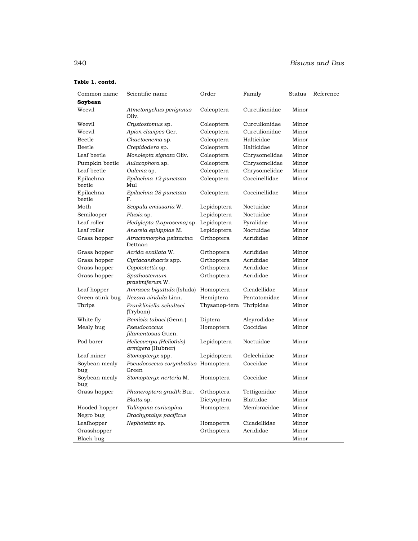| Common name          | Scientific name                              | Order         | Family        | Status | Reference |
|----------------------|----------------------------------------------|---------------|---------------|--------|-----------|
| Soybean              |                                              |               |               |        |           |
| Weevil               | Atmetonychus perignnus<br>Oliv.              | Coleoptera    | Curculionidae | Minor  |           |
| Weevil               | Crystostomus sp.                             | Coleoptera    | Curculionidae | Minor  |           |
| Weevil               | Apion clavipes Ger.                          | Coleoptera    | Curculionidae | Minor  |           |
| Beetle               | Chaetocnema sp.                              | Coleoptera    | Halticidae    | Minor  |           |
| <b>Beetle</b>        | Crepidodera sp.                              | Coleoptera    | Halticidae    | Minor  |           |
| Leaf beetle          | Monolepta signata Oliv.                      | Coleoptera    | Chrysomelidae | Minor  |           |
| Pumpkin beetle       | Aulacophora sp.                              | Coleoptera    | Chrysomelidae | Minor  |           |
| Leaf beetle          | Oulema sp.                                   | Coleoptera    | Chrysomelidae | Minor  |           |
| Epilachna<br>beetle  | Epilachna 12-punctata<br>Mul                 | Coleoptera    | Coccinellidae | Minor  |           |
| Epilachna<br>beetle  | Epilachna 28-punctata<br>F.                  | Coleoptera    | Coccinellidae | Minor  |           |
| Moth                 | Scopula emissaria W.                         | Lepidoptera   | Noctuidae     | Minor  |           |
| Semilooper           | Plusia sp.                                   | Lepidoptera   | Noctuidae     | Minor  |           |
| Leaf roller          | Hedylepta (Laprosema) sp. Lepidoptera        |               | Pyralidae     | Minor  |           |
| Leaf roller          | Anarsia ephippias M.                         | Lepidoptera   | Noctuidae     | Minor  |           |
| Grass hopper         | Atractomorpha psittacina<br>Dettaan          | Orthoptera    | Acrididae     | Minor  |           |
| Grass hopper         | Acrida exallata W.                           | Orthoptera    | Acrididae     | Minor  |           |
| Grass hopper         | Cyrtacanthacris spp.                         | Orthoptera    | Acrididae     | Minor  |           |
| Grass hopper         | Copototettix sp.                             | Orthoptera    | Acrididae     | Minor  |           |
| Grass hopper         | Spathosternum<br>prasimiferum W.             | Orthoptera    | Acrididae     | Minor  |           |
| Leaf hopper          | Amrasca biguttula (Ishida)                   | Homoptera     | Cicadellidae  | Minor  |           |
| Green stink bug      | Nezara viridula Linn.                        | Hemiptera     | Pentatomidae  | Minor  |           |
| Thrips               | Frankliniella schultzei<br>(Trybom)          | Thysanop-tera | Thripidae     | Minor  |           |
| White fly            | Bemisia tabaci (Genn.)                       | Diptera       | Aleyrodidae   | Minor  |           |
| Mealy bug            | Pseudococcus<br>filamentosus Guen.           | Homoptera     | Coccidae      | Minor  |           |
| Pod borer            | Helicoverpa (Heliothis)<br>armigera (Hubner) | Lepidoptera   | Noctuidae     | Minor  |           |
| Leaf miner           | Stomopteryx spp.                             | Lepidoptera   | Gelechiidae   | Minor  |           |
| Soybean mealy<br>bug | Pseudococcus corymbatlus Homoptera<br>Green  |               | Coccidae      | Minor  |           |
| Soybean mealy<br>bug | Stomopteryx nerteria M.                      | Homoptera     | Coccidae      | Minor  |           |
| Grass hopper         | Phaneroptera gradth Bur.                     | Orthoptera    | Tettigonidae  | Minor  |           |
|                      | Blatta sp.                                   | Dictyoptera   | Blattidae     | Minor  |           |
| Hooded hopper        | Talingana curiuspina                         | Homoptera     | Membracidae   | Minor  |           |
| Negro bug            | Brachyptalys pacificus                       |               |               | Minor  |           |
| Leafhopper           | Nephotettix sp.                              | Homopetra     | Cicadellidae  | Minor  |           |
| Grasshopper          |                                              | Orthoptera    | Acrididae     | Minor  |           |
| Black bug            |                                              |               |               | Minor  |           |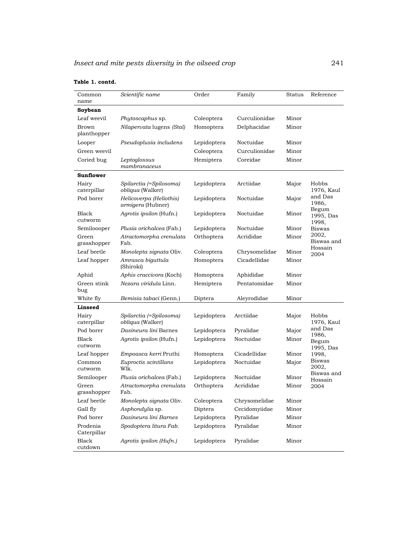| Common<br>name          | Scientific name                              | Order       | Family        | Status | Reference                   |
|-------------------------|----------------------------------------------|-------------|---------------|--------|-----------------------------|
| Soybean                 |                                              |             |               |        |                             |
| Leaf weevil             | Phytoscaphus sp.                             | Coleoptera  | Curculionidae | Minor  |                             |
| Brown<br>planthopper    | Nilapervata lugens (Stal)                    | Homoptera   | Delphacidae   | Minor  |                             |
| Looper                  | Pseudoplusia includens                       | Lepidoptera | Noctuidae     | Minor  |                             |
| Green weevil            |                                              | Coleoptera  | Curculionidae | Minor  |                             |
| Coried bug              | Leptoglossus<br>mambranaceus                 | Hemiptera   | Coreidae      | Minor  |                             |
| Sunflower               |                                              |             |               |        |                             |
| Hairy<br>caterpillar    | Spilarctia (=Spilosoma)<br>obliqua (Walker)  | Lepidoptera | Arctiidae     | Major  | Hobbs<br>1976, Kaul         |
| Pod borer               | Helicoverpa (Heliothis)<br>armigera (Hubner) | Lepidoptera | Noctuidae     | Major  | and Das<br>1986,            |
| Black<br>cutworm        | Agrotis ipsilon (Hufn.)                      | Lepidoptera | Noctuidae     | Minor  | Begum<br>1995, Das<br>1998, |
| Semiloooper             | Plusia orichalcea (Fab.)                     | Lepidoptera | Noctuidae     | Minor  | <b>Biswas</b>               |
| Green<br>grasshopper    | Atractomorpha crenulata<br>Fab.              | Orthoptera  | Acrididae     | Minor  | 2002,<br>Biswas and         |
| Leaf beetle             | Monolepta signata Oliv.                      | Coleoptera  | Chrysomelidae | Minor  | Hossain<br>2004             |
| Leaf hopper             | Amrasca biguttula<br>(Shiroki)               | Homoptera   | Cicadellidae  | Minor  |                             |
| Aphid                   | Aphis craccivora (Koch)                      | Homoptera   | Aphididae     | Minor  |                             |
| Green stink<br>bug      | Nezara viridula Linn.                        | Hemiptera   | Pentatomidae  | Minor  |                             |
| White fly               | Bemisia tabaci (Genn.)                       | Diptera     | Aleyrodidae   | Minor  |                             |
| Linseed                 |                                              |             |               |        |                             |
| Hairy<br>caterpillar    | Spilarctia (=Spilosoma)<br>obliqua (Walker)  | Lepidoptera | Arctiidae     | Major  | Hobbs<br>1976, Kaul         |
| Pod borer               | Dasineura lini Barnes                        | Lepidoptera | Pyralidae     | Major  | and Das<br>1986,            |
| Black<br>cutworm        | Agrotis ipsilon (Hufn.)                      | Lepidoptera | Noctuidae     | Minor  | Begum<br>1995, Das          |
| Leaf hopper             | Empoasca kerri Pruthi                        | Homoptera   | Cicadellidae  | Minor  | 1998,                       |
| Common<br>cutworm       | Euproctis scintillans<br>Wlk.                | Lepidoptera | Noctuidae     | Major  | Biswas<br>2002,             |
| Semilooper              | Plusia orichalcea (Fab.)                     | Lepidoptera | Noctuidae     | Minor  | Biswas and<br>Hossain       |
| Green<br>grasshopper    | Atractomorpha crenulata<br>Fab.              | Orthoptera  | Acrididae     | Minor  | 2004                        |
| Leaf beetle             | Monolepta signata Oliv.                      | Coleoptera  | Chrysomelidae | Minor  |                             |
| Gall fly                | Asphondylia sp.                              | Diptera     | Cecidomyiidae | Minor  |                             |
| Pod borer               | Dasineura lini Barnes                        | Lepidoptera | Pyralidae     | Minor  |                             |
| Prodenia<br>Caterpillar | Spodoptera litura Fab.                       | Lepidoptera | Pyralidae     | Minor  |                             |
| <b>Black</b><br>cutdown | Agrotis ipsilon (Hufn.)                      | Lepidoptera | Pyralidae     | Minor  |                             |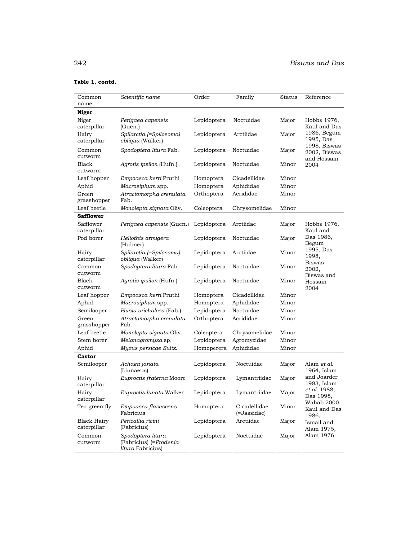| Common<br>name                    | Scientific name                                                          | Order       | Family                      | Status | Reference                                   |
|-----------------------------------|--------------------------------------------------------------------------|-------------|-----------------------------|--------|---------------------------------------------|
| Niger                             |                                                                          |             |                             |        |                                             |
| Niger<br>caterpillar              | Perigaea capensis<br>(Guen.)                                             | Lepidoptera | Noctuidae                   | Major  | Hobbs 1976,<br>Kaul and Das                 |
| Hairy<br>caterpillar              | Spilarctia (=Spilosoma)<br>obliqua (Walker)                              | Lepidoptera | Arctiidae                   | Major  | 1986, Begum<br>1995, Das                    |
| Common<br>cutworm                 | Spodoptera litura Fab.                                                   | Lepidoptera | Noctuidae                   | Major  | 1998, Biswas<br>2002, Biswas<br>and Hossain |
| Black<br>cutworm                  | Agrotis ipsilon (Hufn.)                                                  | Lepidoptera | Noctuidae                   | Minor  | 2004                                        |
| Leaf hopper                       | Empoasca kerri Pruthi                                                    | Homoptera   | Cicadellidae                | Minor  |                                             |
| Aphid                             | Macrosiphum spp.                                                         | Homoptera   | Aphididae                   | Minor  |                                             |
| Green<br>grasshopper              | Atractomorpha crenulata<br>Fab.                                          | Orthoptera  | Acrididae                   | Minor  |                                             |
| Leaf beetle                       | Monolepta signata Oliv.                                                  | Coleoptera  | Chrysomelidae               | Minor  |                                             |
| <b>Safflower</b>                  |                                                                          |             |                             |        |                                             |
| Safflower<br>caterpillar          | Perigaea capensis (Guen.)                                                | Lepidoptera | Arctiidae                   | Major  | Hobbs 1976,<br>Kaul and                     |
| Pod borer                         | Heliothis armigera<br>(Hubner)                                           | Lepidoptera | Noctuidae                   | Major  | Das 1986,<br>Begum                          |
| Hairy<br>caterpillar              | Spilarctia (=Spilosoma)<br>obliqua (Walker)                              | Lepidoptera | Arctiidae                   | Minor  | 1995, Das<br>1998,<br><b>Biswas</b>         |
| Common<br>cutworm                 | Spodoptera litura Fab.                                                   | Lepidoptera | Noctuidae                   | Minor  | 2002,<br>Biswas and                         |
| Black<br>cutworm                  | Agrotis ipsilon (Hufn.)                                                  | Lepidoptera | Noctuidae                   | Minor  | Hossain<br>2004                             |
| Leaf hopper                       | Empoasca kerri Pruthi                                                    | Homoptera   | Cicadellidae                | Minor  |                                             |
| Aphid                             | Macrosiphum spp.                                                         | Homoptera   | Aphididae                   | Minor  |                                             |
| Semilooper                        | Plusia orichalcea (Fab.)                                                 | Lepidoptera | Noctuidae                   | Minor  |                                             |
| Green<br>grasshopper              | Atractomorpha crenulata<br>Fab.                                          | Orthoptera  | Acrididae                   | Minor  |                                             |
| Leaf beetle                       | Monolepta signata Oliv.                                                  | Coleoptera  | Chrysomelidae               | Minor  |                                             |
| Stem borer                        | Melanagromyza sp.                                                        | Lepidoptera | Agromyzidae                 | Minor  |                                             |
| Aphid                             | Myzus persicae Sultz.                                                    | Homoperera  | Aphididae                   | Minor  |                                             |
| <b>Castor</b>                     |                                                                          |             |                             |        |                                             |
| Semilooper                        | Achaea janata<br>(Linnaeus)                                              | Lepidoptera | Noctuidae                   | Major  | Alam <i>et al.</i><br>1964, Islam           |
| Hairy<br>caterpillar              | Euproctis fraterna Moore                                                 | Lepidoptera | Lymantriidae                | Major  | and Joarder<br>1983, Islam                  |
| Hairy<br>caterpillar              | <i>Euproctis lunata</i> Walker                                           | Lepidoptera | Lymantriidae                | Major  | et al. 1988,<br>Das 1998,                   |
| Tea green fly                     | Empoasca flavescens<br>Fabricius                                         | Homoptera   | Cicadellidae<br>(=Jassidae) | Minor  | Wahab 2000,<br>Kaul and Das<br>1986,        |
| <b>Black Hairy</b><br>caterpillar | Pericallia ricini<br>(Fabricius)                                         | Lepidoptera | Arctiidae                   | Major  | Ismail and<br>Alam 1975,                    |
| Common<br>cutworm                 | Spodoptera litura<br>(Fabricius) (= Prodenia<br><i>litura</i> Fabricius) | Lepidoptera | Noctuidae                   | Major  | Alam 1976                                   |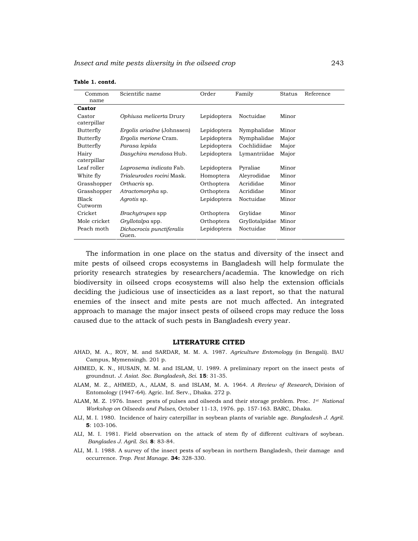| Common       | Scientific name                    | Order       | Family         | Status | Reference |
|--------------|------------------------------------|-------------|----------------|--------|-----------|
| name         |                                    |             |                |        |           |
| Castor       |                                    |             |                |        |           |
| Castor       | Ophiusa melicerta Drury            | Lepidoptera | Noctuidae      | Minor  |           |
| caterpillar  |                                    |             |                |        |           |
| Butterfly    | <i>Ergolis ariadne</i> (Johnssen)  | Lepidoptera | Nymphalidae    | Minor  |           |
| Butterfly    | Ergolis merione Cram.              | Lepidoptera | Nymphalidae    | Major  |           |
| Butterfly    | Parasa lepida                      | Lepidoptera | Cochlidiidae   | Major  |           |
| Hairy        | Dasychira mendosa Hub.             | Lepidoptera | Lymantriidae   | Major  |           |
| caterpillar  |                                    |             |                |        |           |
| Leaf roller  | Laprosema indicata Fab.            | Lepidoptera | Pyraliae       | Minor  |           |
| White fly    | Trialeurodes rocini Mask.          | Homoptera   | Aleyrodidae    | Minor  |           |
| Grasshopper  | Orthacris sp.                      | Orthoptera  | Acrididae      | Minor  |           |
| Grasshopper  | Atractomorpha sp.                  | Orthoptera  | Acrididae      | Minor  |           |
| Black        | Agrotis sp.                        | Lepidoptera | Noctuidae      | Minor  |           |
| Cutworm      |                                    |             |                |        |           |
| Cricket      | <i>Brachytrupes</i> spp            | Orthoptera  | Grylidae       | Minor  |           |
| Mole cricket | Gryllotalpa spp.                   | Orthoptera  | Gryllotalpidae | Minor  |           |
| Peach moth   | Dichocrocis punctiferalis<br>Guen. | Lepidoptera | Noctuidae      | Minor  |           |

 The information in one place on the status and diversity of the insect and mite pests of oilseed crops ecosystems in Bangladesh will help formulate the priority research strategies by researchers/academia. The knowledge on rich biodiversity in oilseed crops ecosystems will also help the extension officials deciding the judicious use of insecticides as a last report, so that the natural enemies of the insect and mite pests are not much affected. An integrated approach to manage the major insect pests of oilseed crops may reduce the loss caused due to the attack of such pests in Bangladesh every year.

#### **LITERATURE CITED**

- AHAD, M. A., ROY, M. and SARDAR, M. M. A. 1987. *Agriculture Entomology* (in Bengali). BAU Campus, Mymensingh. 201 p.
- AHMED, K. N., HUSAIN, M. M. and ISLAM, U. 1989. A preliminary report on the insect pests of groundnut. *J. Asiat. Soc. Bangladesh, Sci.* **15**: 31-35.
- ALAM, M. Z., AHMED, A., ALAM, S. and ISLAM, M. A. 1964. *A Review of Research,* Division of Entomology (1947-64). Agric. Inf. Serv., Dhaka. 272 p.
- ALAM, M. Z. 1976. Insect pests of pulses and oilseeds and their storage problem. Proc. *1st National Workshop on Oilseeds and Pulses,* October 11-13, 1976. pp. 157-163. BARC, Dhaka.
- ALI, M. I. 1980. Incidence of hairy caterpillar in soybean plants of variable age. *Bangladesh J. Agril.* **5**: 103-106.
- ALI, M. I. 1981. Field observation on the attack of stem fly of different cultivars of soybean. *Banglades J. Agril. Sci.* **8**: 83-84.
- ALI, M. I. 1988. A survey of the insect pests of soybean in northern Bangladesh, their damage and occurrence. *Trop. Pest Manage*. **34:** 328-330.